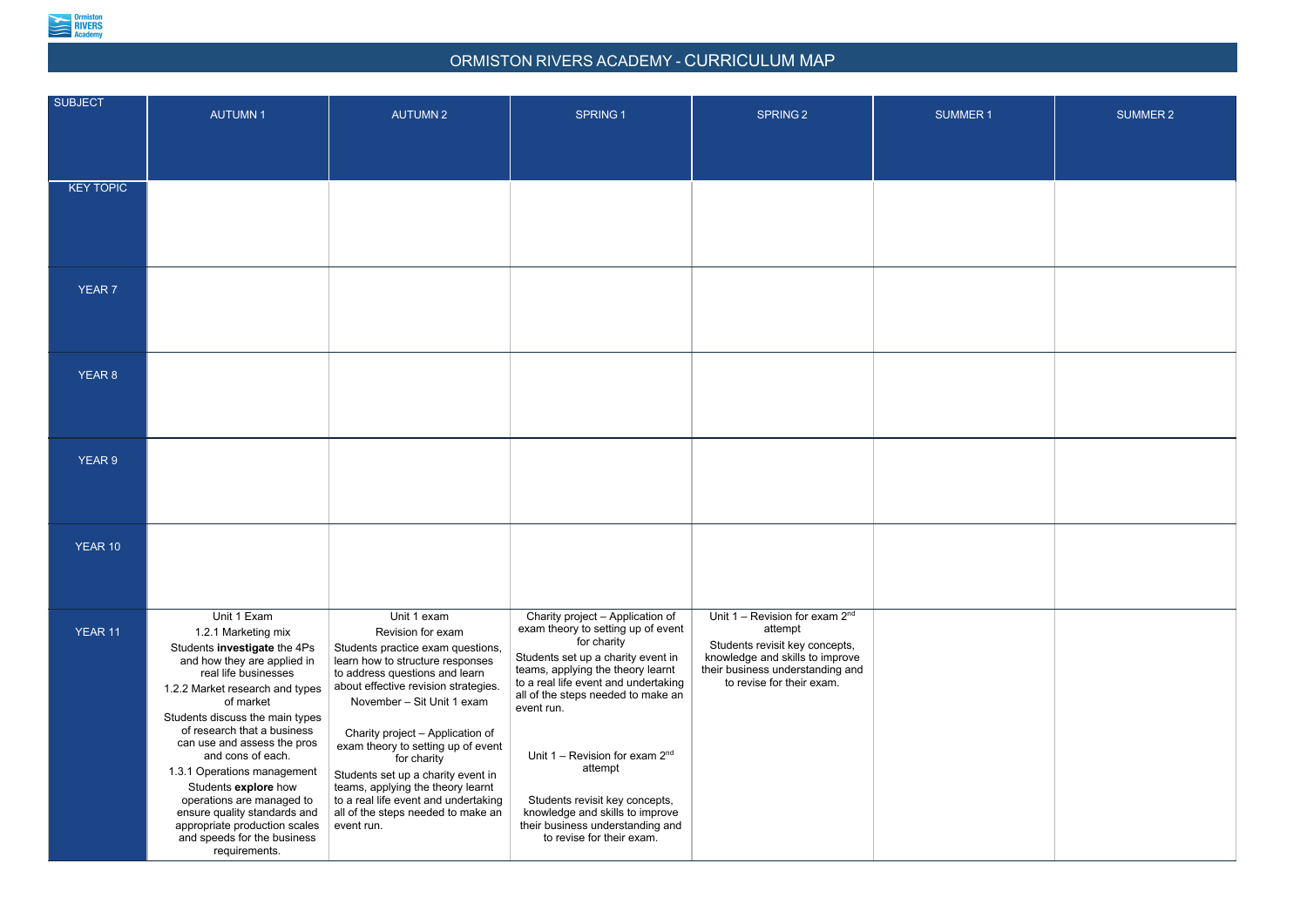

## ORMISTON RIVERS ACADEMY - CURRICULUM MAP

|                                 |                                                                                                                                                                                                                                               |                                                                                                                                                                                                                                                                                         |                                                                                                                                                                                                                                                               |                                                                                                | <b>SUMMER 2</b> |
|---------------------------------|-----------------------------------------------------------------------------------------------------------------------------------------------------------------------------------------------------------------------------------------------|-----------------------------------------------------------------------------------------------------------------------------------------------------------------------------------------------------------------------------------------------------------------------------------------|---------------------------------------------------------------------------------------------------------------------------------------------------------------------------------------------------------------------------------------------------------------|------------------------------------------------------------------------------------------------|-----------------|
|                                 |                                                                                                                                                                                                                                               |                                                                                                                                                                                                                                                                                         |                                                                                                                                                                                                                                                               |                                                                                                |                 |
|                                 |                                                                                                                                                                                                                                               |                                                                                                                                                                                                                                                                                         |                                                                                                                                                                                                                                                               |                                                                                                |                 |
|                                 |                                                                                                                                                                                                                                               |                                                                                                                                                                                                                                                                                         |                                                                                                                                                                                                                                                               |                                                                                                |                 |
|                                 |                                                                                                                                                                                                                                               |                                                                                                                                                                                                                                                                                         |                                                                                                                                                                                                                                                               |                                                                                                |                 |
|                                 |                                                                                                                                                                                                                                               |                                                                                                                                                                                                                                                                                         |                                                                                                                                                                                                                                                               |                                                                                                |                 |
|                                 |                                                                                                                                                                                                                                               |                                                                                                                                                                                                                                                                                         |                                                                                                                                                                                                                                                               |                                                                                                |                 |
|                                 |                                                                                                                                                                                                                                               |                                                                                                                                                                                                                                                                                         |                                                                                                                                                                                                                                                               |                                                                                                |                 |
|                                 |                                                                                                                                                                                                                                               |                                                                                                                                                                                                                                                                                         |                                                                                                                                                                                                                                                               |                                                                                                |                 |
|                                 |                                                                                                                                                                                                                                               |                                                                                                                                                                                                                                                                                         |                                                                                                                                                                                                                                                               |                                                                                                |                 |
|                                 |                                                                                                                                                                                                                                               |                                                                                                                                                                                                                                                                                         |                                                                                                                                                                                                                                                               |                                                                                                |                 |
|                                 |                                                                                                                                                                                                                                               |                                                                                                                                                                                                                                                                                         |                                                                                                                                                                                                                                                               |                                                                                                |                 |
|                                 |                                                                                                                                                                                                                                               |                                                                                                                                                                                                                                                                                         |                                                                                                                                                                                                                                                               |                                                                                                |                 |
|                                 |                                                                                                                                                                                                                                               |                                                                                                                                                                                                                                                                                         |                                                                                                                                                                                                                                                               |                                                                                                |                 |
|                                 |                                                                                                                                                                                                                                               |                                                                                                                                                                                                                                                                                         |                                                                                                                                                                                                                                                               |                                                                                                |                 |
|                                 |                                                                                                                                                                                                                                               |                                                                                                                                                                                                                                                                                         |                                                                                                                                                                                                                                                               |                                                                                                |                 |
|                                 |                                                                                                                                                                                                                                               |                                                                                                                                                                                                                                                                                         |                                                                                                                                                                                                                                                               |                                                                                                |                 |
|                                 |                                                                                                                                                                                                                                               |                                                                                                                                                                                                                                                                                         |                                                                                                                                                                                                                                                               |                                                                                                |                 |
|                                 |                                                                                                                                                                                                                                               |                                                                                                                                                                                                                                                                                         |                                                                                                                                                                                                                                                               |                                                                                                |                 |
|                                 |                                                                                                                                                                                                                                               |                                                                                                                                                                                                                                                                                         |                                                                                                                                                                                                                                                               |                                                                                                |                 |
| Unit 1 Exam                     | Unit 1 exam                                                                                                                                                                                                                                   | Charity project - Application of                                                                                                                                                                                                                                                        | Unit $1 -$ Revision for exam $2^{nd}$                                                                                                                                                                                                                         |                                                                                                |                 |
|                                 |                                                                                                                                                                                                                                               | for charity                                                                                                                                                                                                                                                                             | Students revisit key concepts,                                                                                                                                                                                                                                |                                                                                                |                 |
| and how they are applied in     | learn how to structure responses                                                                                                                                                                                                              | teams, applying the theory learnt                                                                                                                                                                                                                                                       | their business understanding and                                                                                                                                                                                                                              |                                                                                                |                 |
| 1.2.2 Market research and types | about effective revision strategies.                                                                                                                                                                                                          | all of the steps needed to make an                                                                                                                                                                                                                                                      |                                                                                                                                                                                                                                                               |                                                                                                |                 |
| Students discuss the main types |                                                                                                                                                                                                                                               |                                                                                                                                                                                                                                                                                         |                                                                                                                                                                                                                                                               |                                                                                                |                 |
| can use and assess the pros     | exam theory to setting up of event                                                                                                                                                                                                            |                                                                                                                                                                                                                                                                                         |                                                                                                                                                                                                                                                               |                                                                                                |                 |
| 1.3.1 Operations management     |                                                                                                                                                                                                                                               | attempt                                                                                                                                                                                                                                                                                 |                                                                                                                                                                                                                                                               |                                                                                                |                 |
| Students explore how            | teams, applying the theory learnt                                                                                                                                                                                                             |                                                                                                                                                                                                                                                                                         |                                                                                                                                                                                                                                                               |                                                                                                |                 |
| ensure quality standards and    | all of the steps needed to make an                                                                                                                                                                                                            | knowledge and skills to improve                                                                                                                                                                                                                                                         |                                                                                                                                                                                                                                                               |                                                                                                |                 |
| and speeds for the business     |                                                                                                                                                                                                                                               | to revise for their exam.                                                                                                                                                                                                                                                               |                                                                                                                                                                                                                                                               |                                                                                                |                 |
|                                 | <b>AUTUMN1</b><br>1.2.1 Marketing mix<br>Students investigate the 4Ps<br>real life businesses<br>of market<br>of research that a business<br>and cons of each.<br>operations are managed to<br>appropriate production scales<br>requirements. | <b>AUTUMN2</b><br>Revision for exam<br>Students practice exam questions,<br>to address questions and learn<br>November - Sit Unit 1 exam<br>Charity project - Application of<br>for charity<br>Students set up a charity event in<br>to a real life event and undertaking<br>event run. | <b>SPRING1</b><br>exam theory to setting up of event<br>Students set up a charity event in<br>to a real life event and undertaking<br>event run.<br>Unit 1 – Revision for exam $2^{nd}$<br>Students revisit key concepts,<br>their business understanding and | SPRING <sub>2</sub><br>attempt<br>knowledge and skills to improve<br>to revise for their exam. | <b>SUMMER1</b>  |